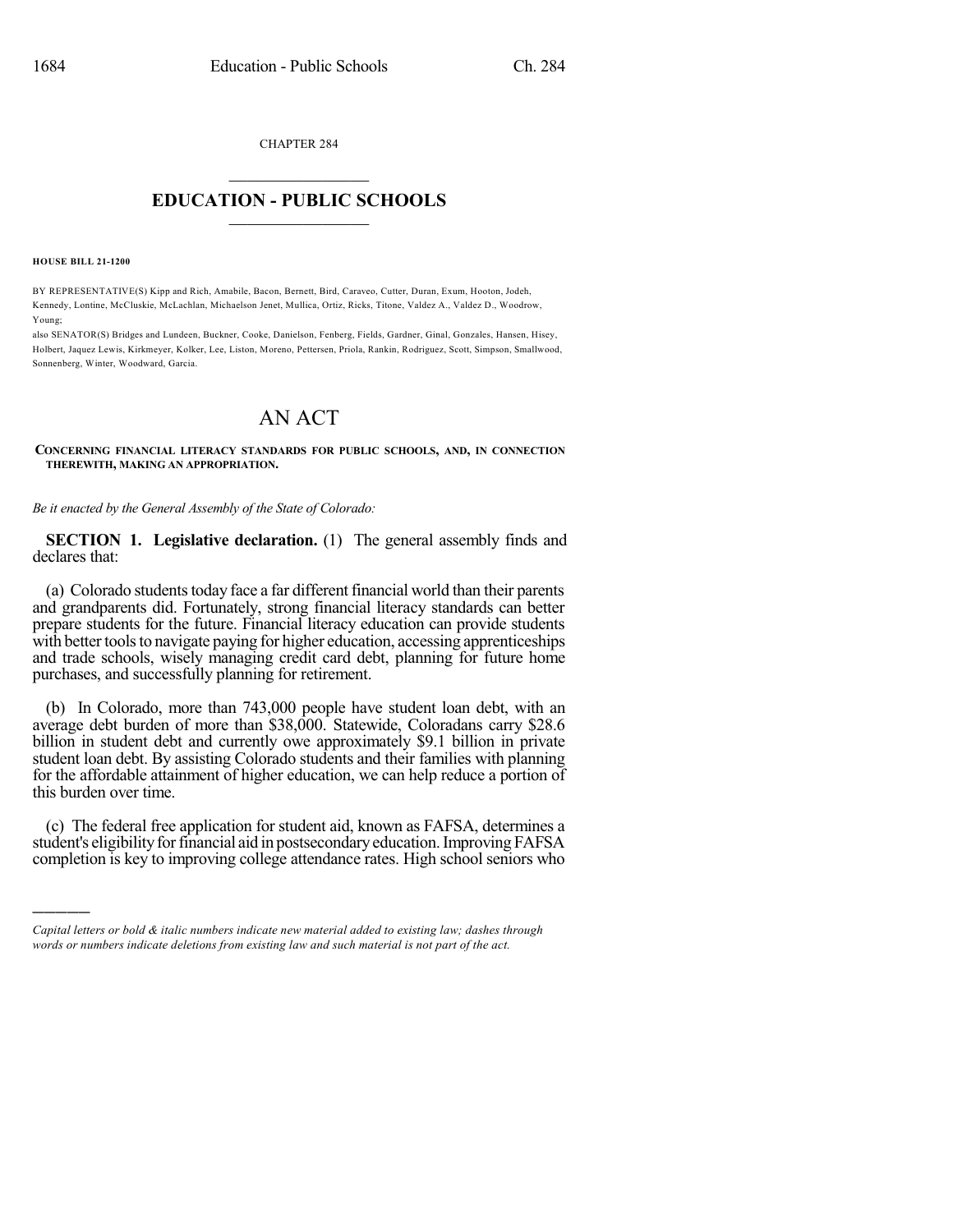CHAPTER 284  $\overline{\phantom{a}}$  . The set of the set of the set of the set of the set of the set of the set of the set of the set of the set of the set of the set of the set of the set of the set of the set of the set of the set of the set o

## **EDUCATION - PUBLIC SCHOOLS**  $\_$   $\_$   $\_$   $\_$   $\_$   $\_$   $\_$   $\_$   $\_$

**HOUSE BILL 21-1200**

)))))

BY REPRESENTATIVE(S) Kipp and Rich, Amabile, Bacon, Bernett, Bird, Caraveo, Cutter, Duran, Exum, Hooton, Jodeh, Kennedy, Lontine, McCluskie, McLachlan, Michaelson Jenet, Mullica, Ortiz, Ricks, Titone, Valdez A., Valdez D., Woodrow, Young;

also SENATOR(S) Bridges and Lundeen, Buckner, Cooke, Danielson, Fenberg, Fields, Gardner, Ginal, Gonzales, Hansen, Hisey, Holbert, Jaquez Lewis, Kirkmeyer, Kolker, Lee, Liston, Moreno, Pettersen, Priola, Rankin, Rodriguez, Scott, Simpson, Smallwood, Sonnenberg, Winter, Woodward, Garcia.

## AN ACT

**CONCERNING FINANCIAL LITERACY STANDARDS FOR PUBLIC SCHOOLS, AND, IN CONNECTION THEREWITH, MAKING AN APPROPRIATION.**

*Be it enacted by the General Assembly of the State of Colorado:*

**SECTION 1. Legislative declaration.** (1) The general assembly finds and declares that:

(a) Colorado students today face a far different financial world than their parents and grandparents did. Fortunately, strong financial literacy standards can better prepare students for the future. Financial literacy education can provide students with better tools to navigate paying for higher education, accessing apprenticeships and trade schools, wisely managing credit card debt, planning for future home purchases, and successfully planning for retirement.

(b) In Colorado, more than 743,000 people have student loan debt, with an average debt burden of more than \$38,000. Statewide, Coloradans carry \$28.6 billion in student debt and currently owe approximately \$9.1 billion in private student loan debt. By assisting Colorado students and their families with planning for the affordable attainment of higher education, we can help reduce a portion of this burden over time.

(c) The federal free application for student aid, known as FAFSA, determines a student's eligibility for financial aid in postsecondary education. Improving FAFSA completion is key to improving college attendance rates. High school seniors who

*Capital letters or bold & italic numbers indicate new material added to existing law; dashes through words or numbers indicate deletions from existing law and such material is not part of the act.*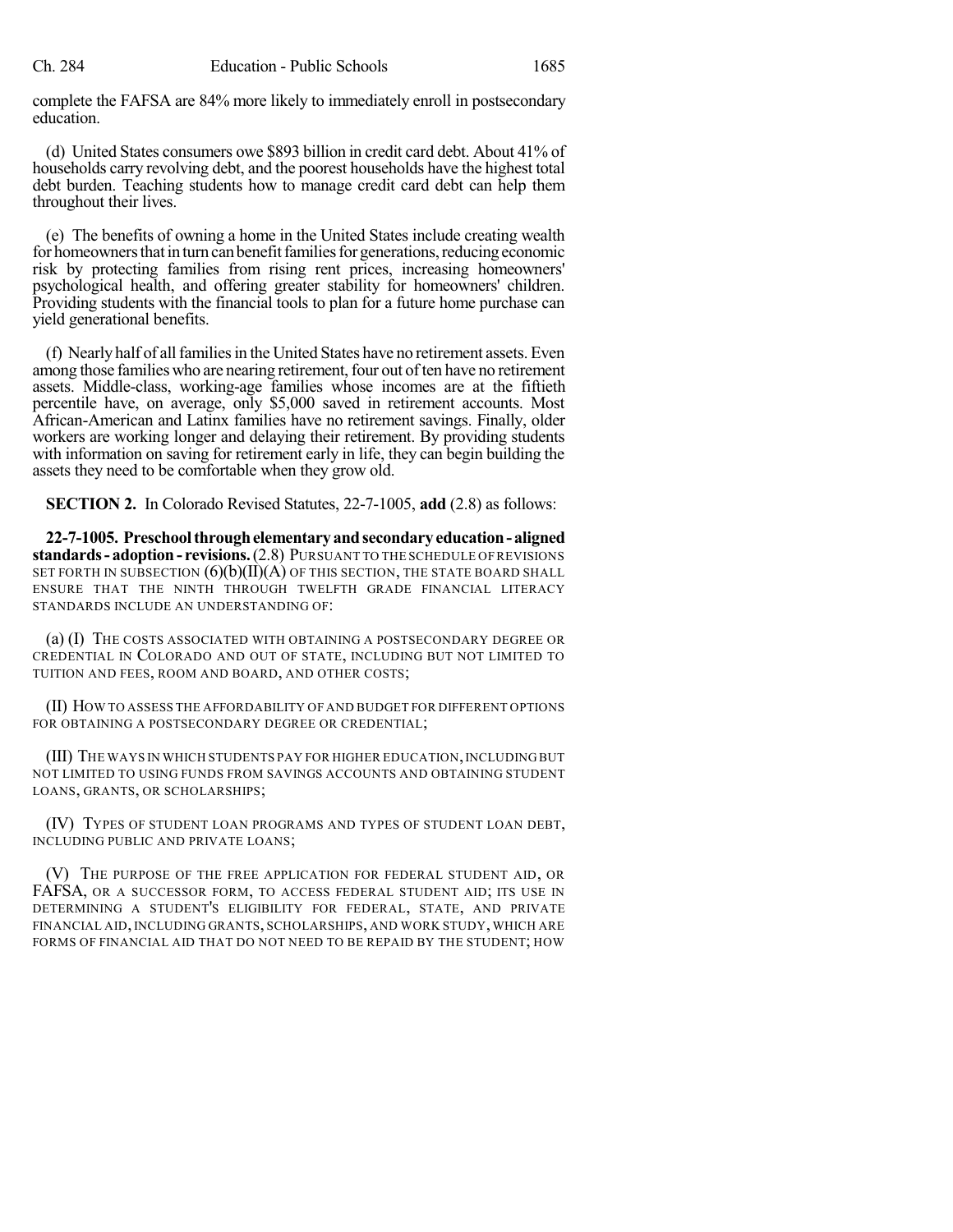complete the FAFSA are 84% more likely to immediately enroll in postsecondary education.

(d) United States consumers owe \$893 billion in credit card debt. About 41% of households carry revolving debt, and the poorest households have the highest total debt burden. Teaching students how to manage credit card debt can help them throughout their lives.

(e) The benefits of owning a home in the United States include creating wealth for homeowners that in turn can benefit families for generations, reducing economic risk by protecting families from rising rent prices, increasing homeowners' psychological health, and offering greater stability for homeowners' children. Providing students with the financial tools to plan for a future home purchase can yield generational benefits.

(f) Nearly half of all families in the United States have no retirement assets. Even among those families who are nearing retirement, four out of ten have no retirement assets. Middle-class, working-age families whose incomes are at the fiftieth percentile have, on average, only \$5,000 saved in retirement accounts. Most African-American and Latinx families have no retirement savings. Finally, older workers are working longer and delaying their retirement. By providing students with information on saving for retirement early in life, they can begin building the assets they need to be comfortable when they grow old.

**SECTION 2.** In Colorado Revised Statutes, 22-7-1005, **add** (2.8) as follows:

**22-7-1005. Preschoolthroughelementaryandsecondary education- aligned standards- adoption- revisions.**(2.8) PURSUANT TO THE SCHEDULE OF REVISIONS SET FORTH IN SUBSECTION  $(6)(b)(II)(A)$  OF THIS SECTION, THE STATE BOARD SHALL ENSURE THAT THE NINTH THROUGH TWELFTH GRADE FINANCIAL LITERACY STANDARDS INCLUDE AN UNDERSTANDING OF:

(a) (I) THE COSTS ASSOCIATED WITH OBTAINING A POSTSECONDARY DEGREE OR CREDENTIAL IN COLORADO AND OUT OF STATE, INCLUDING BUT NOT LIMITED TO TUITION AND FEES, ROOM AND BOARD, AND OTHER COSTS;

(II) HOW TO ASSESS THE AFFORDABILITY OF AND BUDGET FOR DIFFERENT OPTIONS FOR OBTAINING A POSTSECONDARY DEGREE OR CREDENTIAL;

(III) THE WAYS IN WHICH STUDENTS PAY FOR HIGHER EDUCATION,INCLUDING BUT NOT LIMITED TO USING FUNDS FROM SAVINGS ACCOUNTS AND OBTAINING STUDENT LOANS, GRANTS, OR SCHOLARSHIPS;

(IV) TYPES OF STUDENT LOAN PROGRAMS AND TYPES OF STUDENT LOAN DEBT, INCLUDING PUBLIC AND PRIVATE LOANS;

(V) THE PURPOSE OF THE FREE APPLICATION FOR FEDERAL STUDENT AID, OR FAFSA, OR A SUCCESSOR FORM, TO ACCESS FEDERAL STUDENT AID; ITS USE IN DETERMINING A STUDENT'S ELIGIBILITY FOR FEDERAL, STATE, AND PRIVATE FINANCIAL AID, INCLUDING GRANTS, SCHOLARSHIPS, AND WORK STUDY, WHICH ARE FORMS OF FINANCIAL AID THAT DO NOT NEED TO BE REPAID BY THE STUDENT; HOW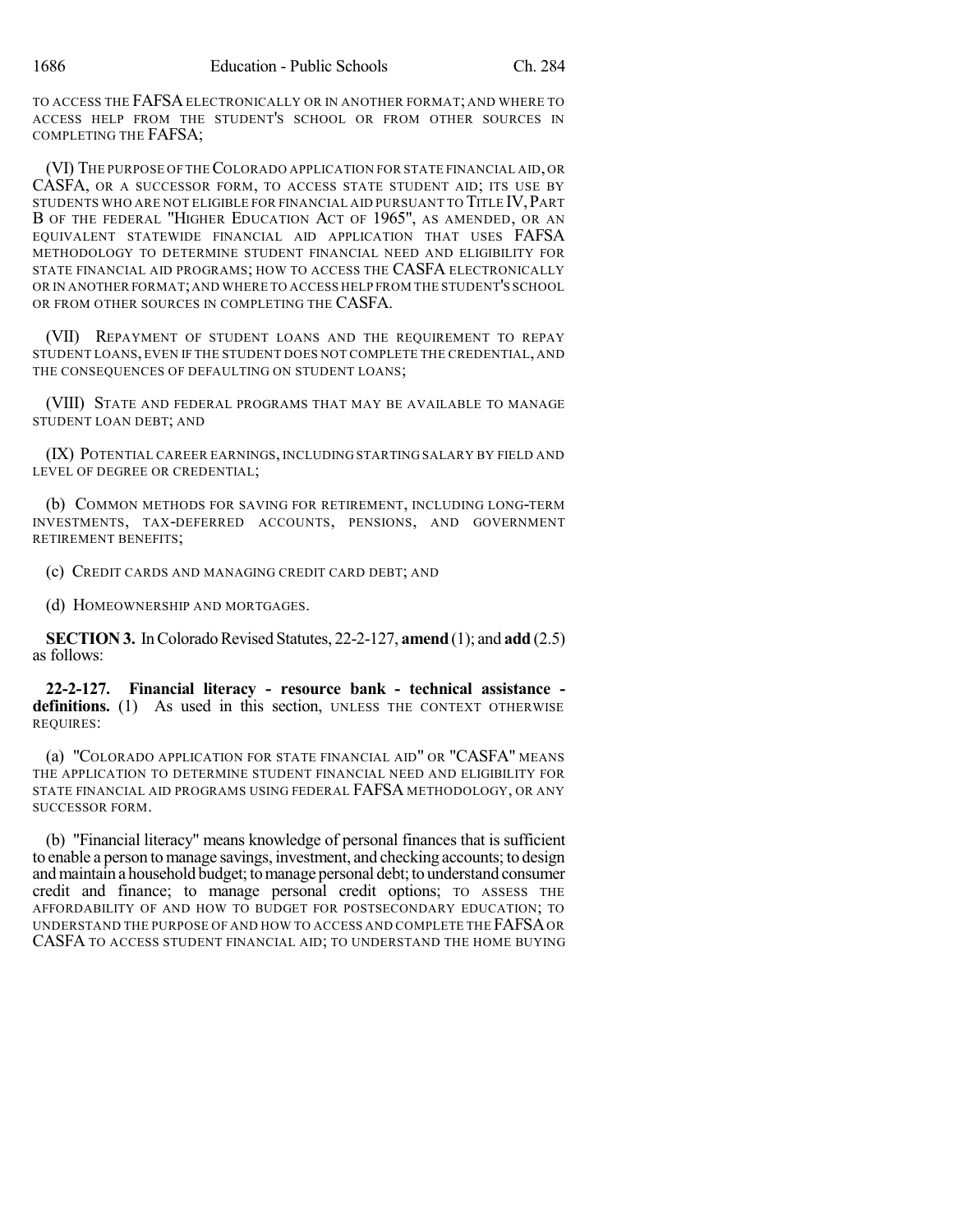TO ACCESS THE FAFSA ELECTRONICALLY OR IN ANOTHER FORMAT; AND WHERE TO ACCESS HELP FROM THE STUDENT'S SCHOOL OR FROM OTHER SOURCES IN COMPLETING THE FAFSA;

(VI) THE PURPOSE OFTHECOLORADO APPLICATION FOR STATE FINANCIAL AID, OR CASFA, OR A SUCCESSOR FORM, TO ACCESS STATE STUDENT AID; ITS USE BY STUDENTS WHO ARE NOT ELIGIBLE FOR FINANCIAL AID PURSUANT TO TITLE IV,PART B OF THE FEDERAL "HIGHER EDUCATION ACT OF 1965", AS AMENDED, OR AN EQUIVALENT STATEWIDE FINANCIAL AID APPLICATION THAT USES FAFSA METHODOLOGY TO DETERMINE STUDENT FINANCIAL NEED AND ELIGIBILITY FOR STATE FINANCIAL AID PROGRAMS; HOW TO ACCESS THE CASFA ELECTRONICALLY OR IN ANOTHER FORMAT;AND WHERE TO ACCESS HELP FROM THE STUDENT'S SCHOOL OR FROM OTHER SOURCES IN COMPLETING THE CASFA.

(VII) REPAYMENT OF STUDENT LOANS AND THE REQUIREMENT TO REPAY STUDENT LOANS, EVEN IF THE STUDENT DOES NOT COMPLETE THE CREDENTIAL, AND THE CONSEQUENCES OF DEFAULTING ON STUDENT LOANS:

(VIII) STATE AND FEDERAL PROGRAMS THAT MAY BE AVAILABLE TO MANAGE STUDENT LOAN DEBT; AND

(IX) POTENTIAL CAREER EARNINGS, INCLUDING STARTING SALARY BY FIELD AND LEVEL OF DEGREE OR CREDENTIAL;

(b) COMMON METHODS FOR SAVING FOR RETIREMENT, INCLUDING LONG-TERM INVESTMENTS, TAX-DEFERRED ACCOUNTS, PENSIONS, AND GOVERNMENT RETIREMENT BENEFITS;

(c) CREDIT CARDS AND MANAGING CREDIT CARD DEBT; AND

(d) HOMEOWNERSHIP AND MORTGAGES.

**SECTION 3.** In Colorado Revised Statutes, 22-2-127, **amend** (1); and **add** (2.5) as follows:

**22-2-127. Financial literacy - resource bank - technical assistance definitions.** (1) As used in this section, UNLESS THE CONTEXT OTHERWISE REQUIRES:

(a) "COLORADO APPLICATION FOR STATE FINANCIAL AID" OR "CASFA" MEANS THE APPLICATION TO DETERMINE STUDENT FINANCIAL NEED AND ELIGIBILITY FOR STATE FINANCIAL AID PROGRAMS USING FEDERAL FAFSA METHODOLOGY, OR ANY SUCCESSOR FORM.

(b) "Financial literacy" means knowledge of personal finances that is sufficient to enable a person to manage savings, investment, and checking accounts; to design and maintain a household budget; to manage personal debt; to understand consumer credit and finance; to manage personal credit options; TO ASSESS THE AFFORDABILITY OF AND HOW TO BUDGET FOR POSTSECONDARY EDUCATION; TO UNDERSTAND THE PURPOSE OF AND HOW TO ACCESS AND COMPLETE THE FAFSAOR CASFA TO ACCESS STUDENT FINANCIAL AID; TO UNDERSTAND THE HOME BUYING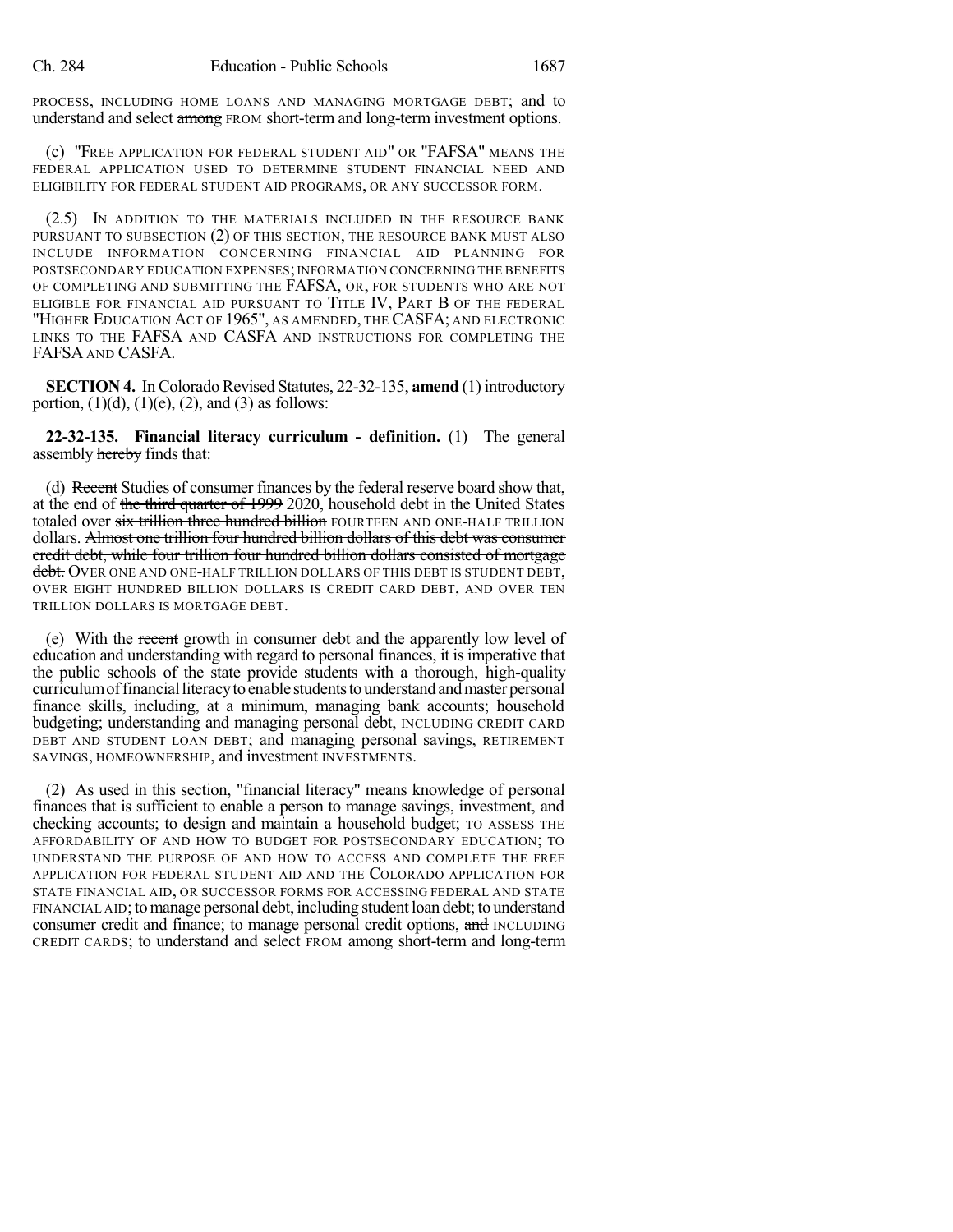PROCESS, INCLUDING HOME LOANS AND MANAGING MORTGAGE DEBT; and to understand and select among FROM short-term and long-term investment options.

(c) "FREE APPLICATION FOR FEDERAL STUDENT AID" OR "FAFSA" MEANS THE FEDERAL APPLICATION USED TO DETERMINE STUDENT FINANCIAL NEED AND ELIGIBILITY FOR FEDERAL STUDENT AID PROGRAMS, OR ANY SUCCESSOR FORM.

(2.5) IN ADDITION TO THE MATERIALS INCLUDED IN THE RESOURCE BANK PURSUANT TO SUBSECTION (2) OF THIS SECTION, THE RESOURCE BANK MUST ALSO INCLUDE INFORMATION CONCERNING FINANCIAL AID PLANNING FOR POSTSECONDARY EDUCATION EXPENSES;INFORMATION CONCERNING THE BENEFITS OF COMPLETING AND SUBMITTING THE FAFSA, OR, FOR STUDENTS WHO ARE NOT ELIGIBLE FOR FINANCIAL AID PURSUANT TO TITLE IV, PART B OF THE FEDERAL "HIGHER EDUCATION ACT OF 1965", AS AMENDED, THE CASFA; AND ELECTRONIC LINKS TO THE FAFSA AND CASFA AND INSTRUCTIONS FOR COMPLETING THE FAFSA AND CASFA.

**SECTION 4.** In Colorado Revised Statutes, 22-32-135, **amend** (1) introductory portion,  $(1)(d)$ ,  $(1)(e)$ ,  $(2)$ , and  $(3)$  as follows:

**22-32-135. Financial literacy curriculum - definition.** (1) The general assembly hereby finds that:

(d) Recent Studies of consumer finances by the federal reserve board show that, at the end of the third quarter of 1999 2020, household debt in the United States totaled over six trillion three hundred billion FOURTEEN AND ONE-HALF TRILLION dollars. Almost one trillion four hundred billion dollars of this debt was consumer credit debt, while four trillion four hundred billion dollars consisted of mortgage debt. Over one and one-half trillion dollars of this debt is student debt, OVER EIGHT HUNDRED BILLION DOLLARS IS CREDIT CARD DEBT, AND OVER TEN TRILLION DOLLARS IS MORTGAGE DEBT.

(e) With the recent growth in consumer debt and the apparently low level of education and understanding with regard to personal finances, it is imperative that the public schools of the state provide students with a thorough, high-quality curriculumoffinancialliteracytoenable studentstounderstandandmaster personal finance skills, including, at a minimum, managing bank accounts; household budgeting; understanding and managing personal debt, INCLUDING CREDIT CARD DEBT AND STUDENT LOAN DEBT; and managing personal savings, RETIREMENT SAVINGS, HOMEOWNERSHIP, and investment INVESTMENTS.

(2) As used in this section, "financial literacy" means knowledge of personal finances that is sufficient to enable a person to manage savings, investment, and checking accounts; to design and maintain a household budget; TO ASSESS THE AFFORDABILITY OF AND HOW TO BUDGET FOR POSTSECONDARY EDUCATION; TO UNDERSTAND THE PURPOSE OF AND HOW TO ACCESS AND COMPLETE THE FREE APPLICATION FOR FEDERAL STUDENT AID AND THE COLORADO APPLICATION FOR STATE FINANCIAL AID, OR SUCCESSOR FORMS FOR ACCESSING FEDERAL AND STATE FINANCIAL AID; to manage personal debt, including student loan debt; to understand consumer credit and finance; to manage personal credit options, and INCLUDING CREDIT CARDS; to understand and select FROM among short-term and long-term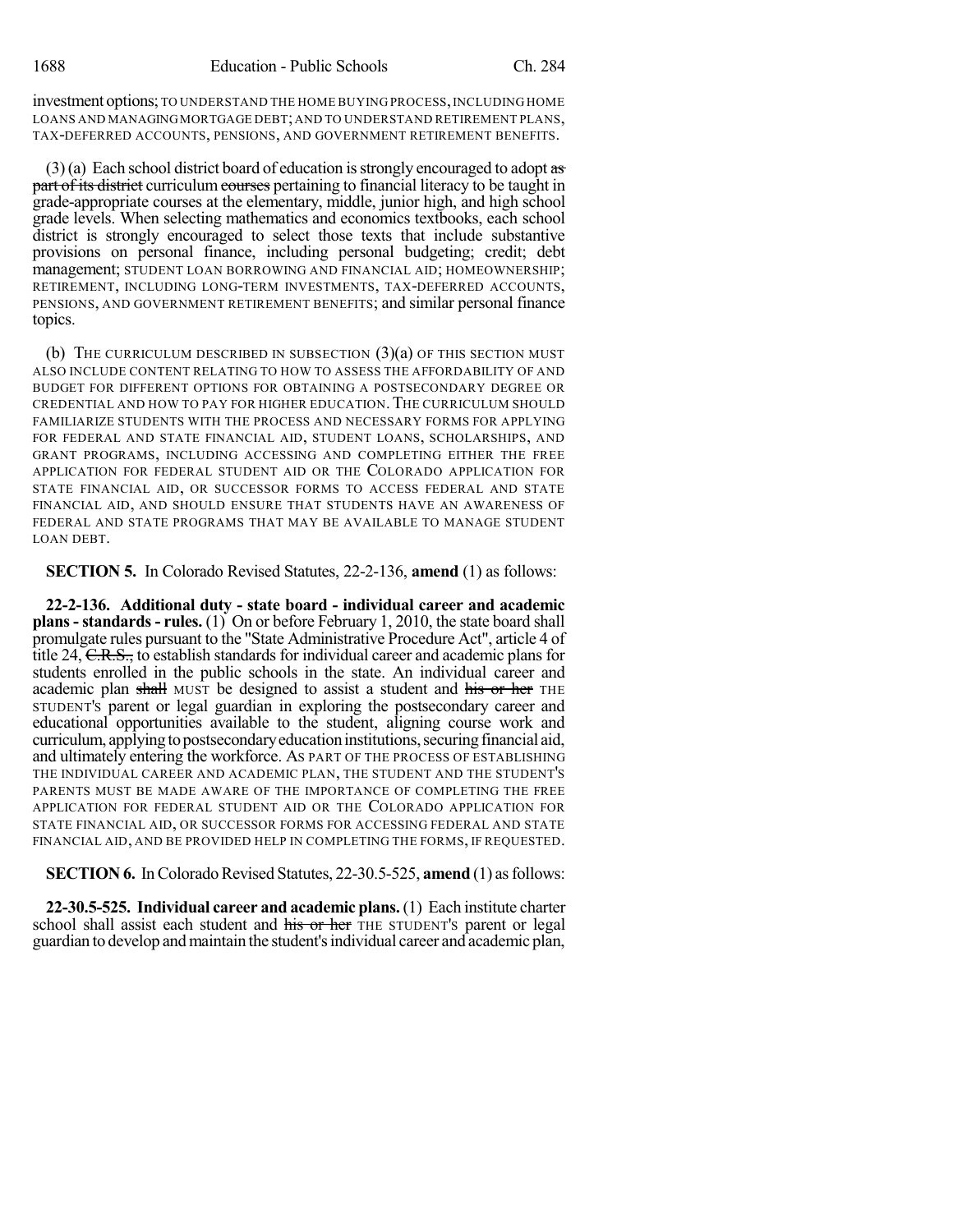investment options; TO UNDERSTAND THE HOME BUYING PROCESS, INCLUDING HOME LOANS AND MANAGINGMORTGAGE DEBT;AND TO UNDERSTAND RETIREMENT PLANS, TAX-DEFERRED ACCOUNTS, PENSIONS, AND GOVERNMENT RETIREMENT BENEFITS.

 $(3)$ (a) Each school district board of education is strongly encouraged to adopt as part of its district curriculum courses pertaining to financial literacy to be taught in grade-appropriate courses at the elementary, middle, junior high, and high school grade levels. When selecting mathematics and economics textbooks, each school district is strongly encouraged to select those texts that include substantive provisions on personal finance, including personal budgeting; credit; debt management; STUDENT LOAN BORROWING AND FINANCIAL AID; HOMEOWNERSHIP; RETIREMENT, INCLUDING LONG-TERM INVESTMENTS, TAX-DEFERRED ACCOUNTS, PENSIONS, AND GOVERNMENT RETIREMENT BENEFITS; and similar personal finance topics.

(b) THE CURRICULUM DESCRIBED IN SUBSECTION  $(3)(a)$  OF THIS SECTION MUST ALSO INCLUDE CONTENT RELATING TO HOW TO ASSESS THE AFFORDABILITY OF AND BUDGET FOR DIFFERENT OPTIONS FOR OBTAINING A POSTSECONDARY DEGREE OR CREDENTIAL AND HOW TO PAY FOR HIGHER EDUCATION.THE CURRICULUM SHOULD FAMILIARIZE STUDENTS WITH THE PROCESS AND NECESSARY FORMS FOR APPLYING FOR FEDERAL AND STATE FINANCIAL AID, STUDENT LOANS, SCHOLARSHIPS, AND GRANT PROGRAMS, INCLUDING ACCESSING AND COMPLETING EITHER THE FREE APPLICATION FOR FEDERAL STUDENT AID OR THE COLORADO APPLICATION FOR STATE FINANCIAL AID, OR SUCCESSOR FORMS TO ACCESS FEDERAL AND STATE FINANCIAL AID, AND SHOULD ENSURE THAT STUDENTS HAVE AN AWARENESS OF FEDERAL AND STATE PROGRAMS THAT MAY BE AVAILABLE TO MANAGE STUDENT LOAN DEBT.

**SECTION 5.** In Colorado Revised Statutes, 22-2-136, **amend** (1) as follows:

**22-2-136. Additional duty - state board - individual career and academic plans-standards- rules.** (1) On or before February 1, 2010, the state board shall promulgate rules pursuant to the "State Administrative Procedure Act", article 4 of title 24, C.R.S., to establish standards for individual career and academic plans for students enrolled in the public schools in the state. An individual career and academic plan shall MUST be designed to assist a student and his or her THE STUDENT'S parent or legal guardian in exploring the postsecondary career and educational opportunities available to the student, aligning course work and curriculum, applying to postsecondary education institutions, securing financial aid, and ultimately entering the workforce. AS PART OF THE PROCESS OF ESTABLISHING THE INDIVIDUAL CAREER AND ACADEMIC PLAN, THE STUDENT AND THE STUDENT'S PARENTS MUST BE MADE AWARE OF THE IMPORTANCE OF COMPLETING THE FREE APPLICATION FOR FEDERAL STUDENT AID OR THE COLORADO APPLICATION FOR STATE FINANCIAL AID, OR SUCCESSOR FORMS FOR ACCESSING FEDERAL AND STATE FINANCIAL AID, AND BE PROVIDED HELP IN COMPLETING THE FORMS, IF REQUESTED.

**SECTION 6.** In Colorado Revised Statutes, 22-30.5-525, **amend** (1) as follows:

**22-30.5-525. Individual career and academic plans.**(1) Each institute charter school shall assist each student and his or her THE STUDENT's parent or legal guardian to develop and maintain the student's individual career and academic plan,